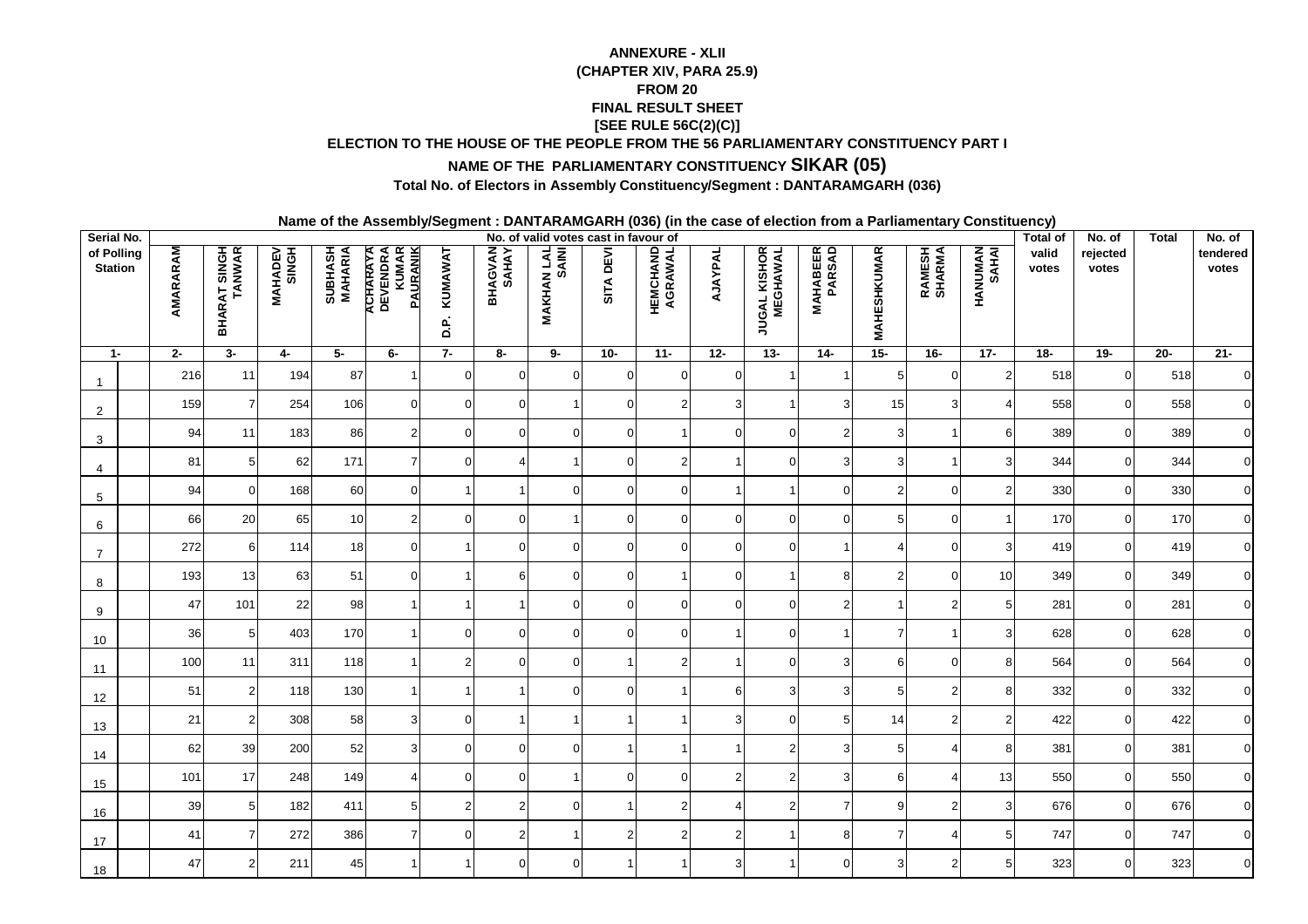## **ANNEXURE - XLII(CHAPTER XIV, PARA 25.9)FROM 20 FINAL RESULT SHEET [SEE RULE 56C(2)(C)]ELECTION TO THE HOUSE OF THE PEOPLE FROM THE 56 PARLIAMENTARY CONSTITUENCY PART I**

## **NAME OF THE PARLIAMENTARY CONSTITUENCY SIKAR (05)**

**Total No. of Electors in Assembly Constituency/Segment : DANTARAMGARH (036)**

**Serial No. No. of valid votes cast in favour ofTotal of No. of TotalNo. of Total of BHARAT SINGH**<br>TANWAR BHAGVAN<sup>2</sup> **BHARAT SINGH MAHADEV**<br>SINGH **MAHADEV SUBHASH**<br>MAHARIA **SUBHASH ACHARAYA<br>DEVENDRA<br>KUMAR<br>PAURANIK ACHARAYA DEVENDRA KUMAR BHAGVAN MAKHAN LAL**<br>SAINI **MAKHAN LAL HEMCHAND JUGAL KISHOR MAHABEER HANUMAN**<br>SAHAI **HANUMAN of Polling** AMARARAM **RAMESH rejected tendered AMARARAM TANWAR MAHARIA PAURANIK D.P. KUMAWAT AGRAWAL AJAYPAL MEGHAWAL PARSAD MAHESHKUMAR MAHESHKUMAR SHARMA valid** KUMAWAT SITA DEVI **SITA DEVI Station votesvotesvotes**ρ.  $\vec{a}$ **1-**2- | 3- | 4- | 5- | 6- | 7- | 8- | 9- | 10- | 11- | 12- | 13- | 14- | 15- | 16- | 17- | 18- | 19- | 20- | 21-1 216 11 194 87 1 0 0 0 0 0 0 1 1 5 0 2 518 0 518 0 12 159 7 254 106 0 0 0 1 0 2 3 1 3 15 3 4 558 0 558 0 23 94 11 183 86 2 0 0 0 0 1 0 0 2 3 1 6 389 0 389 0 34 81 8 62 171 7 0 4 1 0 2 1 0 3 3 1 3 3 3 44 0 3 3 44 45 94 0 168 60 0 1 1 0 0 0 1 1 0 2 0 2 330 0 330 0 56 6 20 65 10 2 0 0 1 0 0 0 0 0 5 0 1 170 0 170 0 67 272 6 114 18 0 1 0 0 0 0 0 0 1 4 0 3 419 0 419 0 78 193 13 63 51 0 1 6 0 0 1 0 1 8 2 0 10 349 0 349 0 8g | 47 101 22 98 1 1 1 0 0 0 0 0 2 1 2 5 281 0 281 0 90 36 5 403 170 1 0 0 0 0 0 1 0 1 7 1 3 628 0 628 0 10 <sup>100</sup> <sup>11</sup> <sup>311</sup> <sup>118</sup> <sup>1</sup> <sup>2</sup> <sup>0</sup> <sup>0</sup> <sup>1</sup> <sup>2</sup> <sup>1</sup> <sup>0</sup> <sup>3</sup> <sup>6</sup> <sup>0</sup> <sup>8</sup> <sup>564</sup> <sup>0</sup> <sup>564</sup> <sup>0</sup> 11 <sup>51</sup> <sup>2</sup> <sup>118</sup> <sup>130</sup> <sup>1</sup> <sup>1</sup> <sup>1</sup> <sup>0</sup> <sup>0</sup> <sup>1</sup> <sup>6</sup> <sup>3</sup> <sup>3</sup> <sup>5</sup> <sup>2</sup> <sup>8</sup> <sup>332</sup> <sup>0</sup> <sup>332</sup> <sup>0</sup> 12 <sup>21</sup> <sup>2</sup> <sup>308</sup> <sup>58</sup> <sup>3</sup> <sup>0</sup> <sup>1</sup> <sup>1</sup> <sup>1</sup> <sup>1</sup> <sup>3</sup> <sup>0</sup> <sup>5</sup> <sup>14</sup> <sup>2</sup> <sup>2</sup> <sup>422</sup> <sup>0</sup> <sup>422</sup> <sup>0</sup> 134 62 39 200 52 3 0 0 0 1 1 1 2 3 5 4 8 381 0 381 0 145 101 17 248 149 4 0 0 1 0 0 2 2 3 6 4 13 550 0 550 0 156 39 5 182 411 5 2 2 0 1 2 4 2 7 9 2 3 676 0 676 0 167 4 5 747 0 7 386 7 0 2 1 2 2 2 1 8 7 4 5 747 0 747 0 178 47 2 211 45 1 1 0 0 1 1 3 1 0 3 2 5 323 0 323 0 18

**Name of the Assembly/Segment : DANTARAMGARH (036) (in the case of election from a Parliamentary Constituency)**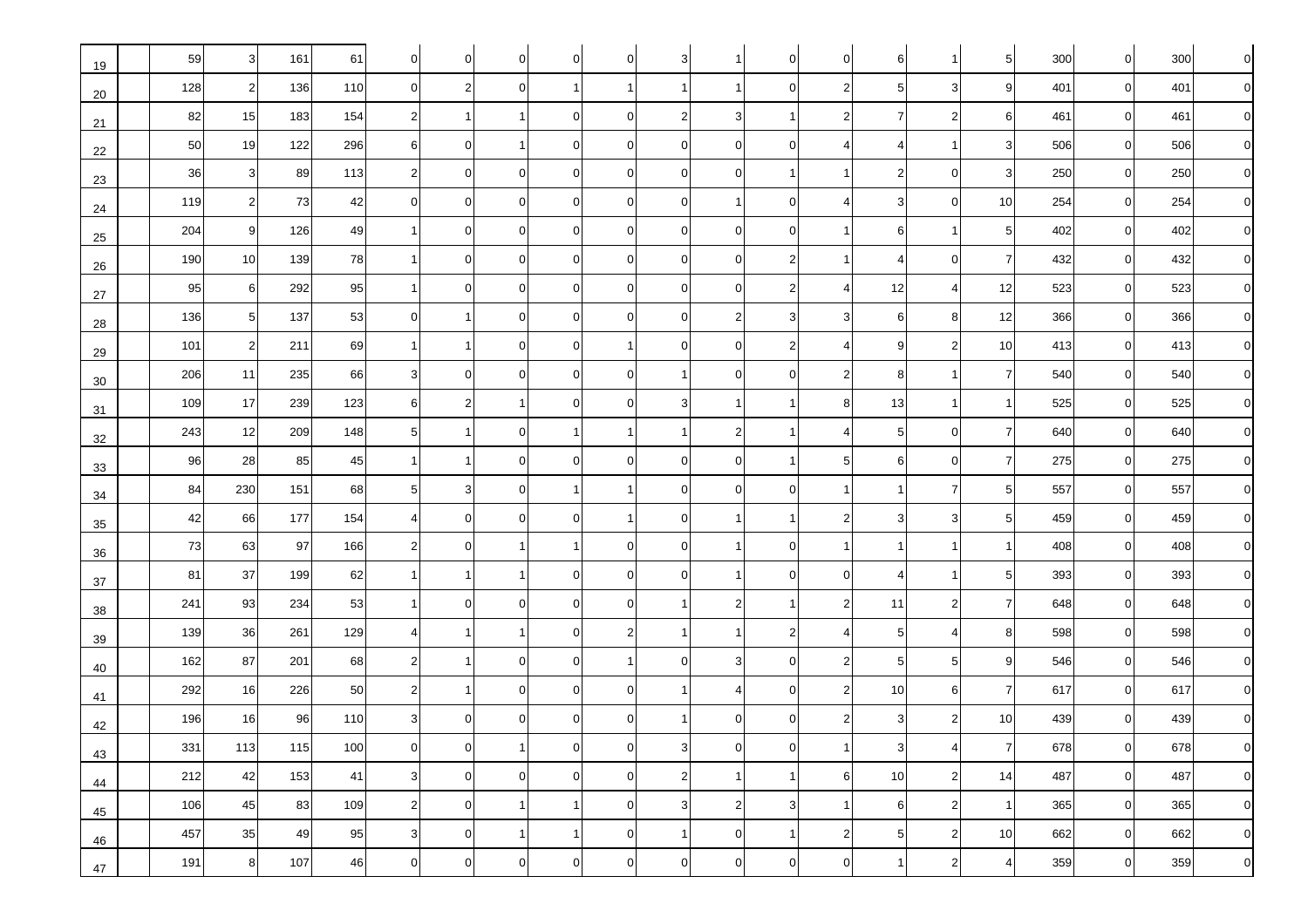| 19 | 59  | 3 <sup>1</sup> | 161 | 61  | $\overline{0}$ | $\mathbf 0$    | $\Omega$       | 0              | 0              | 3              |                      | $\overline{0}$ | 0              | 6               |                         | 5                       | 300 | $\overline{0}$ | 300 | 0                |
|----|-----|----------------|-----|-----|----------------|----------------|----------------|----------------|----------------|----------------|----------------------|----------------|----------------|-----------------|-------------------------|-------------------------|-----|----------------|-----|------------------|
| 20 | 128 | $\overline{2}$ | 136 | 110 | $\overline{0}$ | $\overline{2}$ | $\Omega$       | $\mathbf{1}$   | $\mathbf{1}$   | $\vert$        | 1                    | $\overline{0}$ | $\overline{2}$ | $5\overline{)}$ | 3                       | 9                       | 401 | $\overline{0}$ | 401 | $\mathbf 0$      |
| 21 | 82  | 15             | 183 | 154 | $2 \mid$       | -1             |                | $\mathbf 0$    | 0              | $\overline{c}$ | 3 <sup>1</sup>       | 1              | 2              | 7               | $\overline{2}$          | 6                       | 461 | $\overline{0}$ | 461 | 0                |
| 22 | 50  | 19             | 122 | 296 | 6              | $\overline{0}$ | 1              | $\mathbf 0$    | 0              | $\overline{0}$ | $\overline{0}$       | $\overline{0}$ |                | 4               |                         | 3                       | 506 | $\overline{0}$ | 506 | 0                |
| 23 | 36  | 3 <sup>1</sup> | 89  | 113 | 2 <sub>l</sub> | $\overline{0}$ | $\Omega$       | $\mathbf 0$    | $\mathbf 0$    | $\mathbf 0$    | $\overline{0}$       |                |                | $\overline{2}$  | $\overline{0}$          | 3                       | 250 | $\overline{0}$ | 250 | 0                |
| 24 | 119 | $2 \vert$      | 73  | 42  | $\Omega$       | 0              | $\mathbf 0$    | 0              | 0              | $\mathbf 0$    | $\blacktriangleleft$ | $\overline{0}$ |                | 3               | $\overline{0}$          | 10                      | 254 | $\overline{0}$ | 254 | 0                |
| 25 | 204 | 9              | 126 | 49  |                | $\overline{0}$ | $\Omega$       | $\mathbf 0$    | $\mathbf 0$    | $\mathbf 0$    | $\overline{0}$       | $\overline{0}$ |                | 6               |                         | 5                       | 402 | $\overline{0}$ | 402 | 0                |
| 26 | 190 | 10             | 139 | 78  |                | $\overline{0}$ | $\overline{0}$ | $\mathbf 0$    | $\Omega$       | $\mathbf 0$    | $\overline{0}$       | 2              |                | $\overline{4}$  | $\overline{0}$          | 7                       | 432 | $\overline{0}$ | 432 | 0                |
| 27 | 95  | 6              | 292 | 95  |                | $\overline{0}$ | $\Omega$       | 0              | 0              | $\mathbf 0$    | $\overline{0}$       | 2              |                | 12              | 4                       | 12                      | 523 | $\overline{0}$ | 523 | $\pmb{0}$        |
| 28 | 136 | 5 <sub>5</sub> | 137 | 53  | $\Omega$       | -1             | $\Omega$       | $\mathbf 0$    | $\Omega$       | $\overline{0}$ | $2 \vert$            | 3              |                | 6               | 8                       | 12                      | 366 | $\overline{0}$ | 366 | $\pmb{0}$        |
| 29 | 101 | $\mathbf{2}$   | 211 | 69  |                | -1             | $\Omega$       | $\mathbf 0$    | -1             | $\mathbf 0$    | $\overline{0}$       | 2              |                | 9               | $\overline{2}$          | 10                      | 413 | $\mathbf 0$    | 413 | $\pmb{0}$        |
| 30 | 206 | 11             | 235 | 66  | 3              | $\overline{0}$ | $\mathbf 0$    | $\mathbf 0$    | $\Omega$       | $\vert$        | $\overline{0}$       | $\overline{0}$ |                | 8               |                         | $\overline{7}$          | 540 | $\mathbf 0$    | 540 | $\mathbf 0$      |
| 31 | 109 | 17             | 239 | 123 | 6              | $\overline{c}$ | 1              | $\mathbf 0$    | 0              | 3              | $\mathbf{1}$         |                | 8              | 13              |                         |                         | 525 | $\overline{0}$ | 525 | $\mathbf 0$      |
| 32 | 243 | 12             | 209 | 148 | 5 <sup>1</sup> | -1             | $\Omega$       | -1             | 1              | $\mathbf{1}$   | $\overline{c}$       | 1              |                | 5               | $\overline{0}$          | $\overline{7}$          | 640 | $\overline{0}$ | 640 | 0                |
| 33 | 96  | 28             | 85  | 45  |                | -1             | $\mathbf 0$    | $\mathbf 0$    | 0              | $\overline{0}$ | $\overline{0}$       | 1              | 5              | 6               | $\overline{0}$          | $\overline{7}$          | 275 | $\overline{0}$ | 275 | 0                |
| 34 | 84  | 230            | 151 | 68  | 5              | 3              | $\overline{0}$ |                | 1              | $\overline{0}$ | $\overline{0}$       | $\overline{0}$ |                |                 | $\overline{7}$          | 5                       | 557 | $\overline{0}$ | 557 | 0                |
| 35 | 42  | 66             | 177 | 154 | 4              | $\overline{0}$ | $\overline{0}$ | $\mathbf 0$    |                | $\overline{0}$ | $\mathbf 1$          | 1              |                | 3               | 3                       | 5                       | 459 | $\overline{0}$ | 459 | 0                |
| 36 | 73  | 63             | 97  | 166 | 2              | 0              |                |                | $\Omega$       | $\mathbf 0$    | -1                   | $\overline{0}$ |                |                 |                         |                         | 408 | $\overline{0}$ | 408 | 0                |
| 37 | 81  | 37             | 199 | 62  |                | 1              |                | $\mathbf 0$    | $\Omega$       | $\mathbf 0$    | -1                   | $\overline{0}$ |                | 4               |                         | 5                       | 393 | $\mathbf 0$    | 393 | 0                |
| 38 | 241 | 93             | 234 | 53  |                | $\overline{0}$ | 0              | $\mathbf 0$    | $\mathbf 0$    | $\mathbf{1}$   | $\overline{c}$       |                | 2              | 11              | $\overline{\mathbf{c}}$ | 7                       | 648 | $\overline{0}$ | 648 | $\boldsymbol{0}$ |
| 39 | 139 | 36             | 261 | 129 |                | 1              |                | $\mathbf 0$    | $\overline{2}$ | $\mathbf{1}$   | -1                   | 2              |                | 5               |                         | 8                       | 598 | $\overline{0}$ | 598 | 0                |
| 40 | 162 | 87             | 201 | 68  | $\overline{2}$ |                | $\Omega$       | $\mathbf 0$    | -1             | $\mathbf 0$    | 3 <sup>1</sup>       | $\overline{0}$ | 2              | 5               | 5                       | 9                       | 546 | $\overline{0}$ | 546 | 0                |
| 41 | 292 | 16             | 226 | 50  | $\mathbf{2}$   |                | $\overline{0}$ | $\mathbf 0$    | $\Omega$       | $\mathbf{1}$   | 4                    | $\overline{0}$ |                | 10              | 6                       | 7                       | 617 | $\overline{0}$ | 617 | 0                |
| 42 | 196 | 16             | 96  | 110 | 3              | 0              | 0              | 0              | 0              | 1              | $\overline{0}$       | $\overline{0}$ |                | 3               | $\overline{2}$          | 10                      | 439 | $\overline{0}$ | 439 | 0                |
| 43 | 331 | 113            | 115 | 100 | $\mathbf 0$    | $\overline{0}$ | $\mathbf{1}$   | $\overline{0}$ | 0              | 3              | $\overline{0}$       | $\overline{0}$ | $\mathbf{1}$   | 3               | $\overline{4}$          | $\overline{7}$          | 678 | $\overline{0}$ | 678 | $\mathbf 0$      |
| 44 | 212 | 42             | 153 | 41  | 3 <sup>1</sup> | $\overline{0}$ | $\overline{0}$ | $\overline{0}$ | $\mathbf 0$    | $\overline{2}$ | $\overline{1}$       | 11             | 6              | 10              | $\overline{2}$          | 14                      | 487 | $\overline{0}$ | 487 | $\mathbf 0$      |
| 45 | 106 | 45             | 83  | 109 | $2\vert$       | $\overline{0}$ | $\vert$        | $\mathbf{1}$   | $\pmb{0}$      | 3 <sup>1</sup> | $\overline{2}$       | 3              | $\vert$ 1      | 6               | $2 \mid$                | $\mathbf{1}$            | 365 | 0              | 365 | $\mathbf 0$      |
| 46 | 457 | 35             | 49  | 95  | 3 <sup>1</sup> | $\overline{0}$ | 1              | $\mathbf{1}$   | $\mathbf 0$    | 1              | $\overline{0}$       | 1 <sup>1</sup> | $\overline{2}$ | $5\overline{)}$ | $\overline{2}$          | 10 <sup>1</sup>         | 662 | $\overline{0}$ | 662 | $\mathbf 0$      |
| 47 | 191 | 8              | 107 | 46  | $\overline{0}$ | $\overline{0}$ | $\overline{0}$ | $\mathbf 0$    | $\mathbf 0$    | $\overline{0}$ | $\overline{0}$       | $\overline{0}$ | $\mathbf 0$    | -1              | $\overline{2}$          | $\overline{\mathbf{4}}$ | 359 | 0              | 359 | $\pmb{0}$        |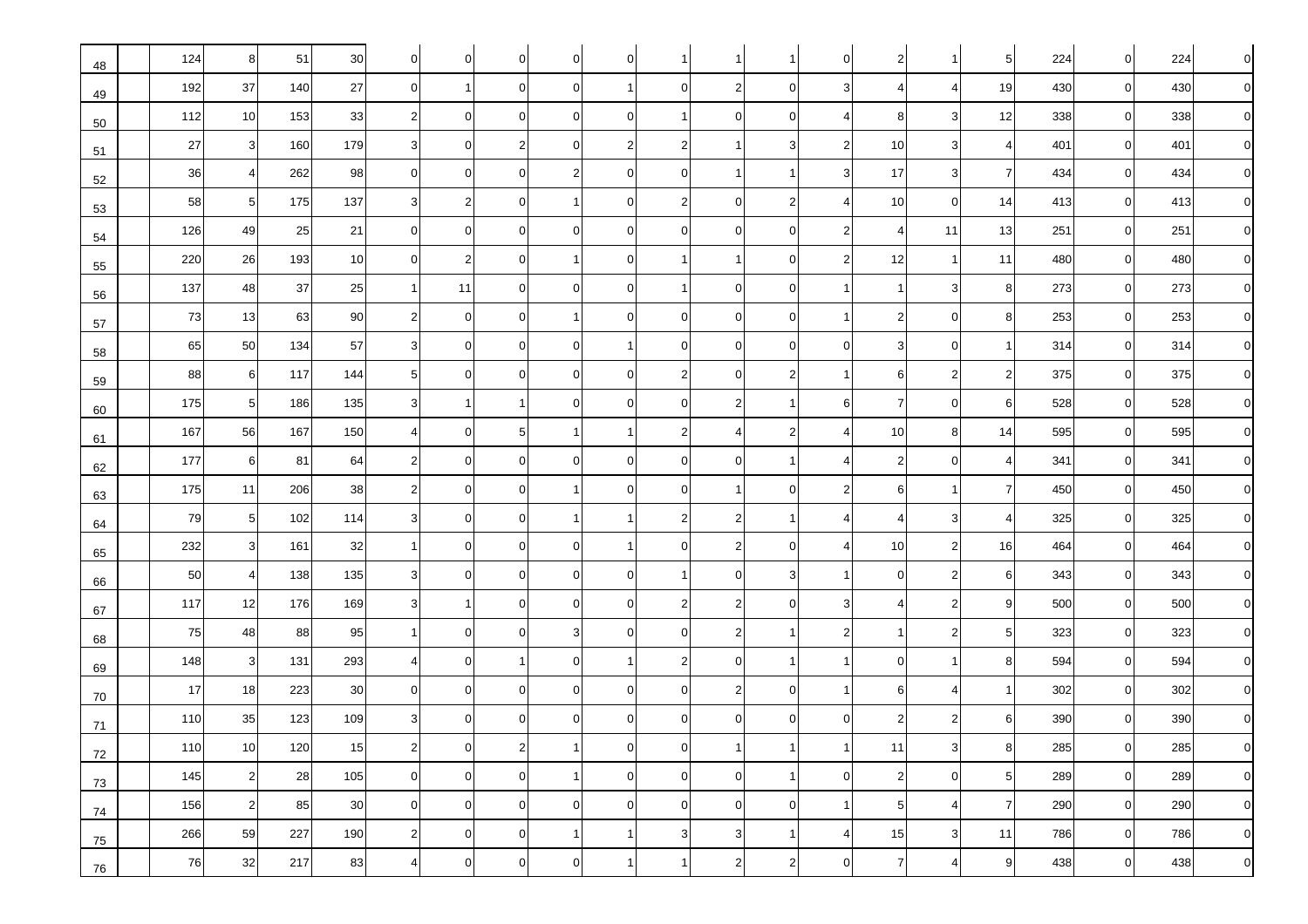| 48 | 124 | 8               | 51  | 30  | -0             | 0              | O              | $\Omega$       |                | 1              |                |                |                | 2              |                         | 5              | 224 | $\mathbf 0$    | 224 | $\overline{0}$      |
|----|-----|-----------------|-----|-----|----------------|----------------|----------------|----------------|----------------|----------------|----------------|----------------|----------------|----------------|-------------------------|----------------|-----|----------------|-----|---------------------|
| 49 | 192 | 37              | 140 | 27  | $\overline{0}$ | $\overline{1}$ | $\Omega$       | $\mathbf 0$    | $\mathbf{1}$   | $\mathbf 0$    | 2              | $\overline{0}$ |                | 4              | $\overline{4}$          | 19             | 430 | $\overline{0}$ | 430 | $\mathbf 0$         |
| 50 | 112 | 10 <sup>1</sup> | 153 | 33  | $\overline{2}$ | $\overline{0}$ | 0              | $\mathbf 0$    | 0              | $\mathbf{1}$   | 0              | $\overline{0}$ |                | 8              | 3                       | 12             | 338 | $\overline{0}$ | 338 | $\mathbf 0$         |
| 51 | 27  | 3               | 160 | 179 | 3 <sup>1</sup> | $\mathbf 0$    | $\overline{2}$ | 0              | $\overline{c}$ | $\overline{c}$ | $\mathbf{1}$   | 3              |                | 10             | 3                       | $\overline{4}$ | 401 | $\overline{0}$ | 401 | $\mathbf 0$         |
| 52 | 36  | 4               | 262 | 98  | $\Omega$       | $\mathbf 0$    | $\Omega$       | $\overline{2}$ | $\mathbf 0$    | $\mathbf 0$    | $\mathbf{1}$   |                | з              | 17             | 3                       | $\overline{7}$ | 434 | $\overline{0}$ | 434 | $\mathbf 0$         |
| 53 | 58  | 5 <sub>5</sub>  | 175 | 137 | 3              | 2              | $\Omega$       |                | $\Omega$       | $\overline{2}$ | $\overline{0}$ | $\mathbf{2}$   |                | 10             | 0                       | 14             | 413 | $\overline{0}$ | 413 | $\mathbf 0$         |
| 54 | 126 | 49              | 25  | 21  | $\Omega$       | $\mathbf 0$    | $\Omega$       | 0              | $\Omega$       | $\mathbf 0$    | 0              | $\overline{0}$ |                | 4              | 11                      | 13             | 251 | $\overline{0}$ | 251 | $\mathbf 0$         |
| 55 | 220 | 26              | 193 | 10  | $\Omega$       | $\overline{2}$ | $\Omega$       | -1             | $\Omega$       | $\mathbf{1}$   | $\mathbf{1}$   | $\overline{0}$ |                | 12             | $\overline{\mathbf{1}}$ | 11             | 480 | $\overline{0}$ | 480 | $\mathsf{O}\xspace$ |
| 56 | 137 | 48              | 37  | 25  |                | 11             | 0              | $\mathbf 0$    | $\Omega$       | $\mathbf{1}$   | $\overline{0}$ | $\overline{0}$ |                | -1             | 3                       | 8              | 273 | $\overline{0}$ | 273 | $\mathbf 0$         |
| 57 | 73  | 13              | 63  | 90  | $\overline{2}$ | $\mathbf 0$    | 0              |                | $\Omega$       | $\mathbf 0$    | 0              | $\overline{0}$ |                | $\overline{c}$ | 0                       | 8              | 253 | $\overline{0}$ | 253 | $\mathbf 0$         |
| 58 | 65  | 50              | 134 | 57  | 31             | $\overline{0}$ | $\Omega$       | $\mathbf 0$    | -1             | $\mathbf 0$    | $\mathbf 0$    | $\overline{0}$ |                | 3              | $\mathbf 0$             | -1             | 314 | $\overline{0}$ | 314 | $\mathbf 0$         |
| 59 | 88  | 6               | 117 | 144 | 5              | $\mathbf 0$    | $\Omega$       | $\mathbf 0$    | 0              | $\overline{c}$ | 0              | 2 <sub>1</sub> |                | 6              | $\overline{2}$          | $\overline{2}$ | 375 | 0              | 375 | $\mathbf 0$         |
| 60 | 175 | $5\overline{)}$ | 186 | 135 | 3              | -1             |                | 0              | $\Omega$       | $\mathbf 0$    | $\overline{a}$ | $\mathbf{1}$   |                | 7              | $\mathbf 0$             | 6              | 528 | $\overline{0}$ | 528 | $\mathbf 0$         |
| 61 | 167 | 56              | 167 | 150 | 4              | $\mathbf 0$    | 5              |                |                | $\overline{c}$ | $\overline{4}$ | 2 <sub>1</sub> |                | 10             | 8                       | 14             | 595 | $\overline{0}$ | 595 | $\mathbf 0$         |
| 62 | 177 | 6               | 81  | 64  | $2 \vert$      | $\overline{0}$ | $\mathbf 0$    | $\mathbf 0$    | $\mathbf 0$    | $\overline{0}$ | $\overline{0}$ | $\mathbf{1}$   |                | $\overline{2}$ | $\mathbf 0$             | $\overline{4}$ | 341 | $\overline{0}$ | 341 | $\mathbf 0$         |
| 63 | 175 | 11              | 206 | 38  | $\overline{2}$ | $\mathbf 0$    | $\Omega$       | -1             | $\Omega$       | $\mathbf 0$    | 1              | $\overline{0}$ |                | 6              | -1                      | 7              | 450 | $\overline{0}$ | 450 | $\mathbf 0$         |
| 64 | 79  | $5\overline{)}$ | 102 | 114 | 3              | $\mathbf 0$    | 0              |                |                | $\overline{c}$ | 2              | 1              |                | 4              | 3                       | 4              | 325 | $\overline{0}$ | 325 | $\mathbf 0$         |
| 65 | 232 | $\overline{3}$  | 161 | 32  |                | $\overline{0}$ | $\Omega$       | $\mathbf 0$    | 1              | $\mathbf 0$    | $\mathbf{2}$   | $\overline{0}$ |                | 10             | $\overline{2}$          | 16             | 464 | $\overline{0}$ | 464 | $\mathbf 0$         |
| 66 | 50  | 4               | 138 | 135 | 3              | 0              | $\Omega$       | 0              | $\Omega$       | $\mathbf{1}$   | $\overline{0}$ | 3              |                | $\overline{0}$ | $\overline{2}$          | 6              | 343 | $\overline{0}$ | 343 | $\mathbf 0$         |
| 67 | 117 | 12              | 176 | 169 | 3              | -1             | $\Omega$       | $\mathbf 0$    | $\Omega$       | $\overline{c}$ | 2              | $\overline{0}$ |                | 4              | $\overline{2}$          | 9              | 500 | $\overline{0}$ | 500 | $\mathsf{O}\xspace$ |
| 68 | 75  | 48              | 88  | 95  |                | $\mathbf 0$    | $\Omega$       | 3              | $\Omega$       | $\mathbf 0$    | 2              |                |                | -1             | $\overline{2}$          | 5              | 323 | $\overline{0}$ | 323 | $\mathsf{O}\xspace$ |
| 69 | 148 | 3               | 131 | 293 | 4              | $\mathbf 0$    |                | 0              | -1             | $\overline{c}$ | $\overline{0}$ | 1              |                | $\mathbf 0$    | -1                      | 8              | 594 | $\overline{0}$ | 594 | $\mathbf 0$         |
| 70 | 17  | 18              | 223 | 30  | $\Omega$       | $\mathbf 0$    | 0              | $\mathbf 0$    | $\Omega$       | $\mathbf 0$    | 2              | $\overline{0}$ |                | 6              | 4                       |                | 302 | $\overline{0}$ | 302 | $\mathbf 0$         |
| 71 | 110 | 35              | 123 | 109 |                | 0              | O              | $\mathbf 0$    | ∩              | $\mathbf 0$    | $\overline{0}$ | $\overline{0}$ |                | $\overline{2}$ | $\overline{2}$          | 6              | 390 | $\Omega$       | 390 | $\mathbf 0$         |
| 72 | 110 | 10              | 120 | 15  | $\overline{2}$ | $\overline{0}$ | $\overline{2}$ | $\mathbf{1}$   | $\overline{0}$ | $\overline{0}$ | $\vert$ 1      | 1              | $\overline{1}$ | 11             | $\mathbf{3}$            | 8              | 285 | $\overline{0}$ | 285 | $\mathbf 0$         |
| 73 | 145 | $\mathbf{2}$    | 28  | 105 | $\overline{0}$ | $\overline{0}$ | 0              | $\mathbf{1}$   | 0              | $\overline{0}$ | $\overline{0}$ | 1              | $\Omega$       | $\overline{c}$ | $\mathbf 0$             | $\sqrt{5}$     | 289 | $\overline{0}$ | 289 | $\mathbf 0$         |
| 74 | 156 | $\mathbf{2}$    | 85  | 30  | $\overline{0}$ | $\overline{0}$ | $\overline{0}$ | $\mathbf 0$    | $\pmb{0}$      | $\overline{0}$ | $\overline{0}$ | $\overline{0}$ | 11             | 5 <sub>5</sub> | $\overline{4}$          | $\overline{7}$ | 290 | $\overline{0}$ | 290 | $\mathsf{O}\xspace$ |
| 75 | 266 | 59              | 227 | 190 | $\mathbf{2}$   | $\overline{0}$ | $\mathbf 0$    | $\mathbf{1}$   | $\mathbf{1}$   | 3 <sub>l</sub> | 3 <sub>l</sub> | 1              | 4              | 15             | $\mathbf{3}$            | 11             | 786 | $\overline{0}$ | 786 | $\mathsf{O}\xspace$ |
| 76 | 76  | 32              | 217 | 83  | $\overline{4}$ | $\overline{0}$ | $\mathbf 0$    | $\mathbf 0$    | $\mathbf{1}$   | 1              | $\mathbf{2}$   | $\overline{2}$ | $\mathbf 0$    | $\overline{7}$ | 4                       | 9              | 438 | $\overline{0}$ | 438 | $\mathsf{O}\xspace$ |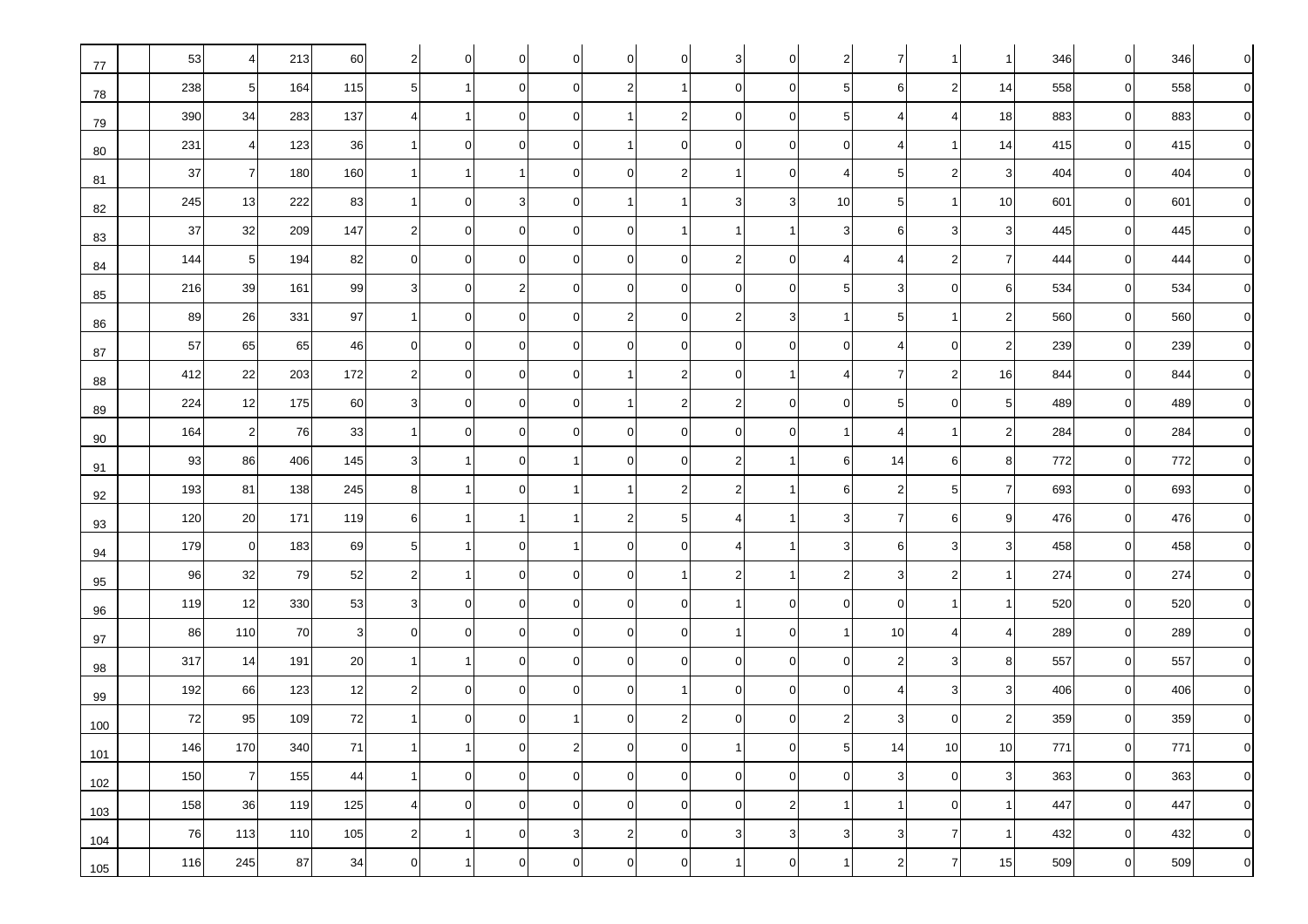| 77  | 53  | $\overline{4}$  | 213 | 60     | 2              | 0              | $\Omega$       | 0              | 0              | $\mathbf 0$    | 3              | $\overline{0}$ |              | 7              |                |                         | 346 | $\overline{0}$ | 346 | 0                |
|-----|-----|-----------------|-----|--------|----------------|----------------|----------------|----------------|----------------|----------------|----------------|----------------|--------------|----------------|----------------|-------------------------|-----|----------------|-----|------------------|
| 78  | 238 | $5\overline{)}$ | 164 | 115    | 5 <sub>l</sub> | $\mathbf 1$    | $\Omega$       | $\mathbf 0$    | $\overline{2}$ | $\vert$ 1      | $\overline{0}$ | $\overline{0}$ | 5            | 6              | $\overline{2}$ | 14                      | 558 | $\overline{0}$ | 558 | $\mathbf 0$      |
| 79  | 390 | 34              | 283 | 137    | 4              | -1             | 0              | $\mathbf 0$    | -1             | $\overline{c}$ | $\overline{0}$ | $\overline{0}$ | 5            | 4              |                | 18                      | 883 | $\overline{0}$ | 883 | 0                |
| 80  | 231 | $\overline{4}$  | 123 | 36     |                | $\overline{0}$ | $\overline{0}$ | $\mathbf 0$    | -1             | $\mathbf 0$    | $\overline{0}$ | $\overline{0}$ | $\Omega$     | 4              |                | 14                      | 415 | $\overline{0}$ | 415 | 0                |
| 81  | 37  | $\overline{7}$  | 180 | 160    |                | -1             | 1              | $\mathbf 0$    | $\mathbf 0$    | $\overline{c}$ | $\mathbf{1}$   | $\overline{0}$ |              | 5              | $\overline{2}$ | 3                       | 404 | $\overline{0}$ | 404 | 0                |
| 82  | 245 | 13              | 222 | 83     |                | 0              | 3              | 0              | -1             | 1              | 3 <sup>1</sup> | 3              | 10           | 5              |                | 10                      | 601 | $\overline{0}$ | 601 | 0                |
| 83  | 37  | 32              | 209 | 147    | $\overline{2}$ | 0              | $\Omega$       | 0              | $\mathbf 0$    | $\mathbf{1}$   | -1             |                |              | 6              | 3              | 3                       | 445 | $\overline{0}$ | 445 | 0                |
| 84  | 144 | $5\overline{)}$ | 194 | 82     | $\overline{0}$ | $\overline{0}$ | $\mathbf 0$    | $\mathbf 0$    | $\mathbf 0$    | $\mathbf 0$    | $2 \vert$      | $\overline{0}$ |              | $\overline{4}$ | $\overline{2}$ | 7                       | 444 | $\overline{0}$ | 444 | $\mathbf 0$      |
| 85  | 216 | 39              | 161 | 99     | 3              | $\overline{0}$ | 2              | $\mathbf 0$    | 0              | $\overline{0}$ | $\overline{0}$ | $\overline{0}$ | 5            | 3              | $\mathbf 0$    | 6                       | 534 | $\overline{0}$ | 534 | $\boldsymbol{0}$ |
| 86  | 89  | 26              | 331 | 97     |                | $\overline{0}$ | $\overline{0}$ | 0              | $\overline{c}$ | $\overline{0}$ | $\overline{2}$ | 3              |              | 5              |                | 2                       | 560 | $\overline{0}$ | 560 | 0                |
| 87  | 57  | 65              | 65  | 46     | 0              | $\overline{0}$ | $\Omega$       | $\mathbf 0$    | 0              | $\mathbf 0$    | $\overline{0}$ | $\overline{0}$ |              | $\overline{4}$ | $\overline{0}$ | $\overline{2}$          | 239 | $\overline{0}$ | 239 | 0                |
| 88  | 412 | 22              | 203 | 172    | $\overline{2}$ | $\overline{0}$ | $\mathbf 0$    | $\mathbf 0$    |                | $\overline{c}$ | $\overline{0}$ | 1              |              | $\overline{7}$ | $\overline{2}$ | 16                      | 844 | $\overline{0}$ | 844 | 0                |
| 89  | 224 | 12              | 175 | 60     | 3              | $\overline{0}$ | $\overline{0}$ | 0              | -1             | $\overline{c}$ | $\overline{c}$ | $\overline{0}$ |              | 5              | $\overline{0}$ | 5                       | 489 | $\overline{0}$ | 489 | $\mathbf 0$      |
| 90  | 164 | $2 \vert$       | 76  | 33     |                | $\overline{0}$ | $\mathbf 0$    | $\mathbf 0$    | $\mathbf 0$    | $\overline{0}$ | $\overline{0}$ | $\overline{0}$ |              | $\overline{4}$ |                | $\overline{\mathbf{c}}$ | 284 | $\overline{0}$ | 284 | 0                |
| 91  | 93  | 86              | 406 | 145    | 3 <sup>1</sup> | -1             | $\overline{0}$ | -1             | $\mathbf 0$    | $\overline{0}$ | $\overline{c}$ | 1              | 6            | 14             | 6              | 8                       | 772 | $\overline{0}$ | 772 | 0                |
| 92  | 193 | 81              | 138 | 245    | 8              | -1             | 0              |                | -1             | $\mathbf 2$    | 2 <sub>1</sub> |                | 6            | $\overline{2}$ | 5              | 7                       | 693 | $\overline{0}$ | 693 | 0                |
| 93  | 120 | 20              | 171 | 119    | $6 \mid$       |                | 1              |                | $\overline{c}$ | 5              | 4              |                |              | $\overline{7}$ | 6              | 9                       | 476 | $\overline{0}$ | 476 | 0                |
| 94  | 179 | $\overline{0}$  | 183 | 69     | 5 <sup>1</sup> | -1             | $\Omega$       |                | $\Omega$       | $\mathbf 0$    | $\overline{4}$ |                |              | 6              | 3              | 3                       | 458 | $\overline{0}$ | 458 | 0                |
| 95  | 96  | 32              | 79  | 52     | $\overline{2}$ | -1             | $\mathbf 0$    | 0              | $\Omega$       | $\mathbf{1}$   | $\overline{2}$ |                |              | 3              | $\overline{2}$ |                         | 274 | $\overline{0}$ | 274 | 0                |
| 96  | 119 | 12              | 330 | 53     | 3              | $\mathbf 0$    | $\Omega$       | $\mathbf 0$    | $\Omega$       | $\mathbf 0$    | -1             | $\overline{0}$ |              | $\overline{0}$ |                |                         | 520 | $\overline{0}$ | 520 | 0                |
| 97  | 86  | 110             | 70  | 3      | $\Omega$       | $\overline{0}$ | $\Omega$       | $\mathbf 0$    | $\Omega$       | $\mathbf 0$    | $\mathbf 1$    | $\overline{0}$ |              | 10             | 4              |                         | 289 | $\overline{0}$ | 289 | $\pmb{0}$        |
| 98  | 317 | 14              | 191 | 20     |                | -1             | $\mathbf 0$    | $\mathbf 0$    | 0              | $\mathbf 0$    | $\overline{0}$ | $\overline{0}$ | 0            | $\overline{c}$ | 3              | 8                       | 557 | $\overline{0}$ | 557 | $\pmb{0}$        |
| 99  | 192 | 66              | 123 | 12     | 2              | $\overline{0}$ | $\Omega$       | $\mathbf 0$    | 0              | $\mathbf{1}$   | $\overline{0}$ | $\overline{0}$ |              | $\overline{4}$ | 3              | 3                       | 406 | $\overline{0}$ | 406 | 0                |
| 100 | 72  | 95              | 109 | $72\,$ |                | 0              | 0              |                | $\Omega$       | $\overline{c}$ | $\overline{0}$ | $\overline{0}$ |              | 3              | $\overline{0}$ | 2                       | 359 | $\Omega$       | 359 | $\pmb{0}$        |
| 101 | 146 | 170             | 340 | 71     | 11             | $\mathbf{1}$   | $\overline{0}$ | $\overline{2}$ | $\overline{0}$ | $\overline{0}$ | $\overline{1}$ | $\overline{0}$ | 5            | 14             | 10             | 10                      | 771 | $\overline{0}$ | 771 | 0                |
| 102 | 150 | $\overline{7}$  | 155 | 44     |                | $\overline{0}$ | $\mathbf 0$    | $\overline{0}$ | $\mathbf 0$    | $\overline{0}$ | $\overline{0}$ | $\overline{0}$ | $\mathbf 0$  | $\mathbf{3}$   | $\overline{0}$ | 3                       | 363 | $\overline{0}$ | 363 | $\mathbf 0$      |
| 103 | 158 | 36              | 119 | 125    | 4 <sup>1</sup> | $\overline{0}$ | $\overline{0}$ | $\mathbf 0$    | $\pmb{0}$      | $\overline{0}$ | $\overline{0}$ | 2              | $\vert$      | $\mathbf{1}$   | $\overline{0}$ |                         | 447 | 0              | 447 | $\mathbf 0$      |
| 104 | 76  | 113             | 110 | 105    | $2\vert$       | $\mathbf{1}$   | $\overline{0}$ | 3              | $\mathbf{2}$   | $\overline{0}$ | 3              | 3 <sup>l</sup> | $\mathbf{3}$ | $\mathbf{3}$   | $\overline{7}$ |                         | 432 | 0              | 432 | $\mathbf 0$      |
| 105 | 116 | 245             | 87  | 34     | $\overline{0}$ | $\mathbf 1$    | $\mathbf 0$    | $\pmb{0}$      | $\mathbf 0$    | $\overline{0}$ | $\vert$        | $\overline{0}$ |              | $\overline{a}$ | $\overline{7}$ | 15                      | 509 | 0              | 509 | $\pmb{0}$        |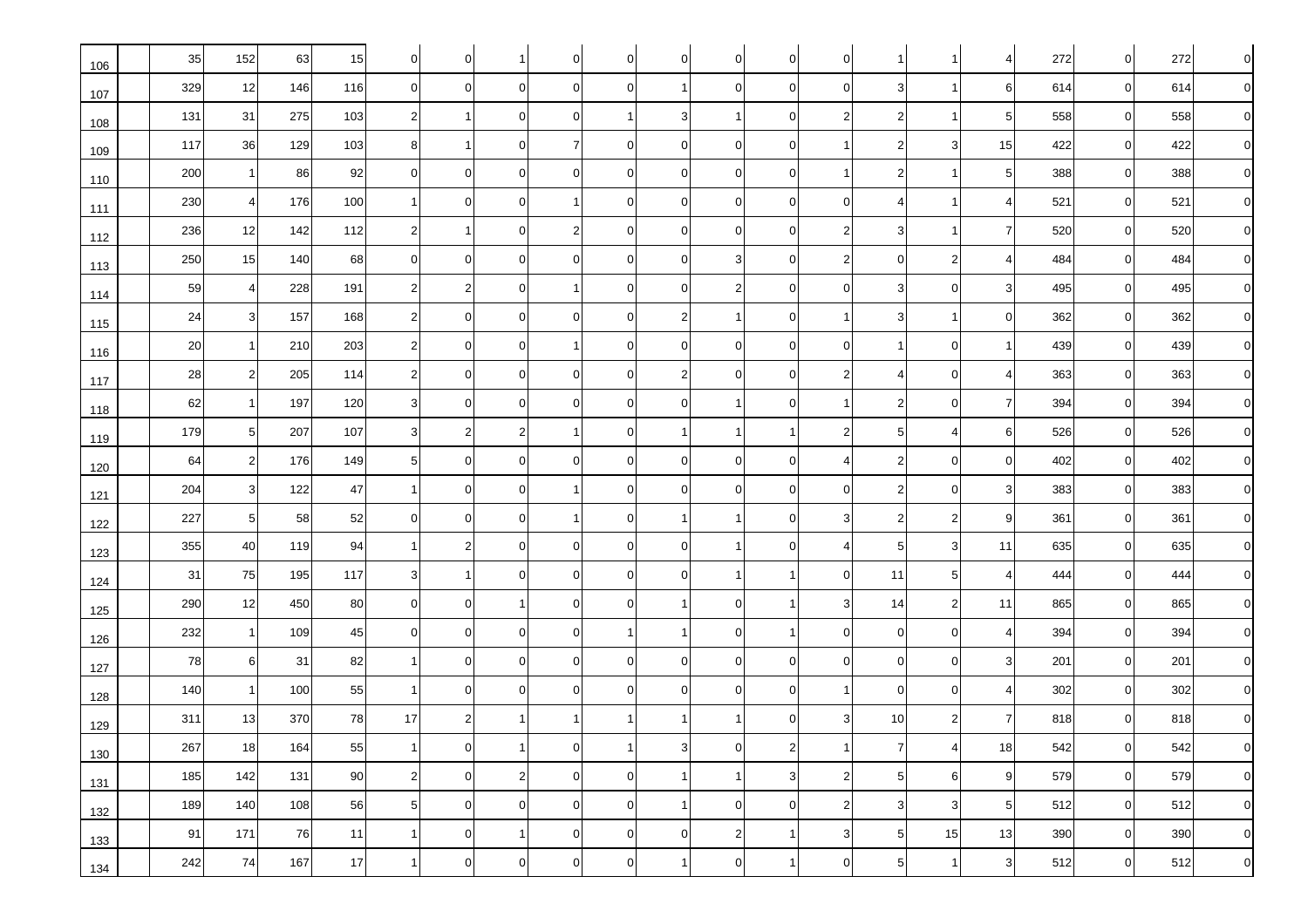| 106 | 35  | 152            | 63  | 15  | $\overline{0}$ | $\overline{0}$ |                | 0                | 0            | $\mathbf 0$    | $\overline{0}$ | $\overline{0}$ | 0              |                |                | 4               | 272 | $\overline{0}$ | 272 | 0           |
|-----|-----|----------------|-----|-----|----------------|----------------|----------------|------------------|--------------|----------------|----------------|----------------|----------------|----------------|----------------|-----------------|-----|----------------|-----|-------------|
| 107 | 329 | 12             | 146 | 116 | $\mathbf 0$    | $\overline{0}$ | $\overline{0}$ | $\mathbf 0$      | 0            | $\vert$ 1      | $\overline{0}$ | $\overline{0}$ | $\mathbf 0$    | 3              |                | 6               | 614 | $\overline{0}$ | 614 | 0           |
| 108 | 131 | 31             | 275 | 103 | $\mathbf{2}$   | -1             | $\Omega$       | $\mathbf 0$      | -1           | 3              | $\mathbf 1$    | $\overline{0}$ | 2              | $\overline{2}$ |                | 5               | 558 | $\overline{0}$ | 558 | 0           |
| 109 | 117 | 36             | 129 | 103 | 8              |                | $\Omega$       | $\overline{7}$   | $\Omega$     | $\mathbf 0$    | $\overline{0}$ | $\overline{0}$ |                | $\overline{2}$ | 3              | 15              | 422 | $\overline{0}$ | 422 | 0           |
| 110 | 200 | 1              | 86  | 92  | $\Omega$       | $\mathbf 0$    | $\Omega$       | 0                | $\Omega$     | $\mathbf 0$    | $\overline{0}$ | $\overline{0}$ |                | $\overline{2}$ |                | 5               | 388 | $\mathbf 0$    | 388 | 0           |
| 111 | 230 | $\overline{4}$ | 176 | 100 |                | 0              | $\Omega$       |                  | $\Omega$     | $\mathbf 0$    | $\overline{0}$ | $\overline{0}$ |                | 4              |                |                 | 521 | $\mathbf 0$    | 521 | 0           |
| 112 | 236 | 12             | 142 | 112 | $\mathbf{2}$   | 1              | $\Omega$       | $\overline{2}$   | $\Omega$     | $\mathbf 0$    | $\overline{0}$ | $\overline{0}$ |                | 3              |                | 7               | 520 | $\overline{0}$ | 520 | 0           |
| 113 | 250 | 15             | 140 | 68  | $\overline{0}$ | $\overline{0}$ | $\mathbf 0$    | $\mathbf 0$      | $\Omega$     | $\mathbf 0$    | 3 <sup>1</sup> | $\overline{0}$ | 2              | $\mathbf 0$    | $\overline{2}$ |                 | 484 | $\overline{0}$ | 484 | $\pmb{0}$   |
| 114 | 59  | $\overline{4}$ | 228 | 191 | $\mathbf{2}$   | $\overline{2}$ | $\mathbf 0$    |                  | 0            | $\mathbf 0$    | $\overline{2}$ | $\overline{0}$ |                | 3              | $\overline{0}$ | 3               | 495 | $\overline{0}$ | 495 | 0           |
| 115 | 24  | 3 <sup>1</sup> | 157 | 168 | $\overline{2}$ | $\mathbf 0$    | $\Omega$       | $\mathbf 0$      | $\Omega$     | $\overline{c}$ | 1              | $\overline{0}$ |                | 3              |                | $\Omega$        | 362 | $\overline{0}$ | 362 | $\pmb{0}$   |
| 116 | 20  | 1              | 210 | 203 | 2              | $\mathbf 0$    | 0              |                  | $\Omega$     | $\mathbf 0$    | $\overline{0}$ | $\overline{0}$ |                |                | $\overline{0}$ |                 | 439 | $\mathbf 0$    | 439 | $\mathbf 0$ |
| 117 | 28  | 2 <sub>1</sub> | 205 | 114 | $\overline{2}$ | $\overline{0}$ | $\Omega$       | 0                | $\Omega$     | $\overline{c}$ | $\overline{0}$ | $\overline{0}$ |                | $\overline{4}$ | $\overline{0}$ | 4               | 363 | $\mathbf 0$    | 363 | 0           |
| 118 | 62  | 1              | 197 | 120 | 3 <sub>l</sub> | $\overline{0}$ | $\overline{0}$ | $\mathbf 0$      | $\mathbf 0$  | $\mathbf 0$    | $\mathbf{1}$   | $\overline{0}$ |                | $\overline{c}$ | $\mathbf 0$    | $\overline{7}$  | 394 | $\overline{0}$ | 394 | 0           |
| 119 | 179 | 5 <sub>l</sub> | 207 | 107 | 3              | $\overline{2}$ | $\overline{2}$ | -1               | 0            | $\mathbf{1}$   | -1             |                | 2              | 5              |                | 6               | 526 | $\overline{0}$ | 526 | 0           |
| 120 | 64  | $\mathbf{2}$   | 176 | 149 | 5 <sub>l</sub> | $\overline{0}$ | $\overline{0}$ | $\mathbf 0$      | $\mathbf 0$  | $\overline{0}$ | $\overline{0}$ | $\overline{0}$ |                | $\overline{c}$ | $\mathbf 0$    | 0               | 402 | $\overline{0}$ | 402 | 0           |
| 121 | 204 | 3 <sup>1</sup> | 122 | 47  |                | $\mathbf 0$    | $\Omega$       |                  | $\mathbf 0$  | $\mathbf 0$    | $\overline{0}$ | $\overline{0}$ | ∩              | $\overline{2}$ | $\overline{0}$ | 3               | 383 | $\overline{0}$ | 383 | 0           |
| 122 | 227 | 5 <sub>l</sub> | 58  | 52  | 0              | 0              | 0              |                  | $\Omega$     | $\mathbf{1}$   |                | $\overline{0}$ |                | $\overline{2}$ | $\overline{2}$ | 9               | 361 | $\mathbf 0$    | 361 | 0           |
| 123 | 355 | 40             | 119 | 94  |                | $\overline{2}$ | $\Omega$       | 0                | $\Omega$     | $\mathbf 0$    | -1             | $\overline{0}$ |                | 5              | 3              | 11              | 635 | $\overline{0}$ | 635 | 0           |
| 124 | 31  | 75             | 195 | 117 | 3              | -1             | $\Omega$       | $\mathbf 0$      | $\Omega$     | $\mathbf 0$    | $\mathbf 1$    |                | n              | 11             | 5              | 4               | 444 | $\overline{0}$ | 444 | 0           |
| 125 | 290 | 12             | 450 | 80  | $\overline{0}$ | $\overline{0}$ |                | $\mathbf 0$      | $\Omega$     | $\mathbf{1}$   | $\overline{0}$ |                |                | 14             | $\overline{2}$ | 11              | 865 | $\overline{0}$ | 865 | $\pmb{0}$   |
| 126 | 232 | 1              | 109 | 45  | 0              | $\overline{0}$ | 0              | 0                |              | $\mathbf{1}$   | $\overline{0}$ |                |                | $\overline{0}$ | $\overline{0}$ |                 | 394 | $\overline{0}$ | 394 | 0           |
| 127 | 78  | 6              | 31  | 82  |                | $\overline{0}$ | $\mathbf 0$    | $\mathbf 0$      | $\mathbf 0$  | $\mathbf 0$    | $\overline{0}$ | $\overline{0}$ |                | $\mathbf 0$    | $\mathbf 0$    | 3               | 201 | $\overline{0}$ | 201 | $\mathbf 0$ |
| 128 | 140 | $\mathbf{1}$   | 100 | 55  |                | 0              | <sup>0</sup>   | 0                | 0            | $\mathbf 0$    | $\overline{0}$ | $\overline{0}$ |                | $\mathbf 0$    | $\overline{0}$ |                 | 302 | $\overline{0}$ | 302 | $\mathbf 0$ |
| 129 | 311 | 13             | 370 | 78  | 17             | $\overline{2}$ |                |                  |              | 1              |                | 0              |                | 10             | $\overline{2}$ |                 | 818 | $\overline{0}$ | 818 | 0           |
| 130 | 267 | 18             | 164 | 55  | 11             | $\overline{0}$ | 11             | $\overline{0}$   | $\mathbf{1}$ | 3              | $\overline{0}$ | 2              | $\vert$        | $\overline{7}$ | $\overline{4}$ | 18              | 542 | $\overline{0}$ | 542 | $\mathbf 0$ |
| 131 | 185 | 142            | 131 | 90  | 2              | $\overline{0}$ | $\overline{2}$ | $\overline{0}$   | $\pmb{0}$    | 1              | $\overline{1}$ | 3              | $\overline{2}$ | 5 <sub>l</sub> | $6 \mid$       | 9               | 579 | 0              | 579 | $\mathbf 0$ |
| 132 | 189 | 140            | 108 | 56  | 5 <sub>1</sub> | $\overline{0}$ | $\overline{0}$ | $\mathbf 0$      | $\mathbf 0$  | 1              | $\overline{0}$ | $\overline{0}$ | $\overline{2}$ | $\mathbf{3}$   | 3              | $5\phantom{.0}$ | 512 | 0              | 512 | $\pmb{0}$   |
| 133 | 91  | 171            | 76  | 11  |                | $\overline{0}$ | 1              | $\boldsymbol{0}$ | $\pmb{0}$    | $\overline{0}$ | $2 \vert$      | 1              | 3              | 5 <sub>5</sub> | 15             | 13              | 390 | $\overline{0}$ | 390 | $\mathbf 0$ |
| 134 | 242 | 74             | 167 | 17  |                | $\overline{0}$ | $\overline{0}$ | $\mathbf 0$      | $\pmb{0}$    | $\mathbf{1}$   | $\overline{0}$ | 1              | $\Omega$       | 5              | 1              | $\mathbf{3}$    | 512 | 0              | 512 | $\pmb{0}$   |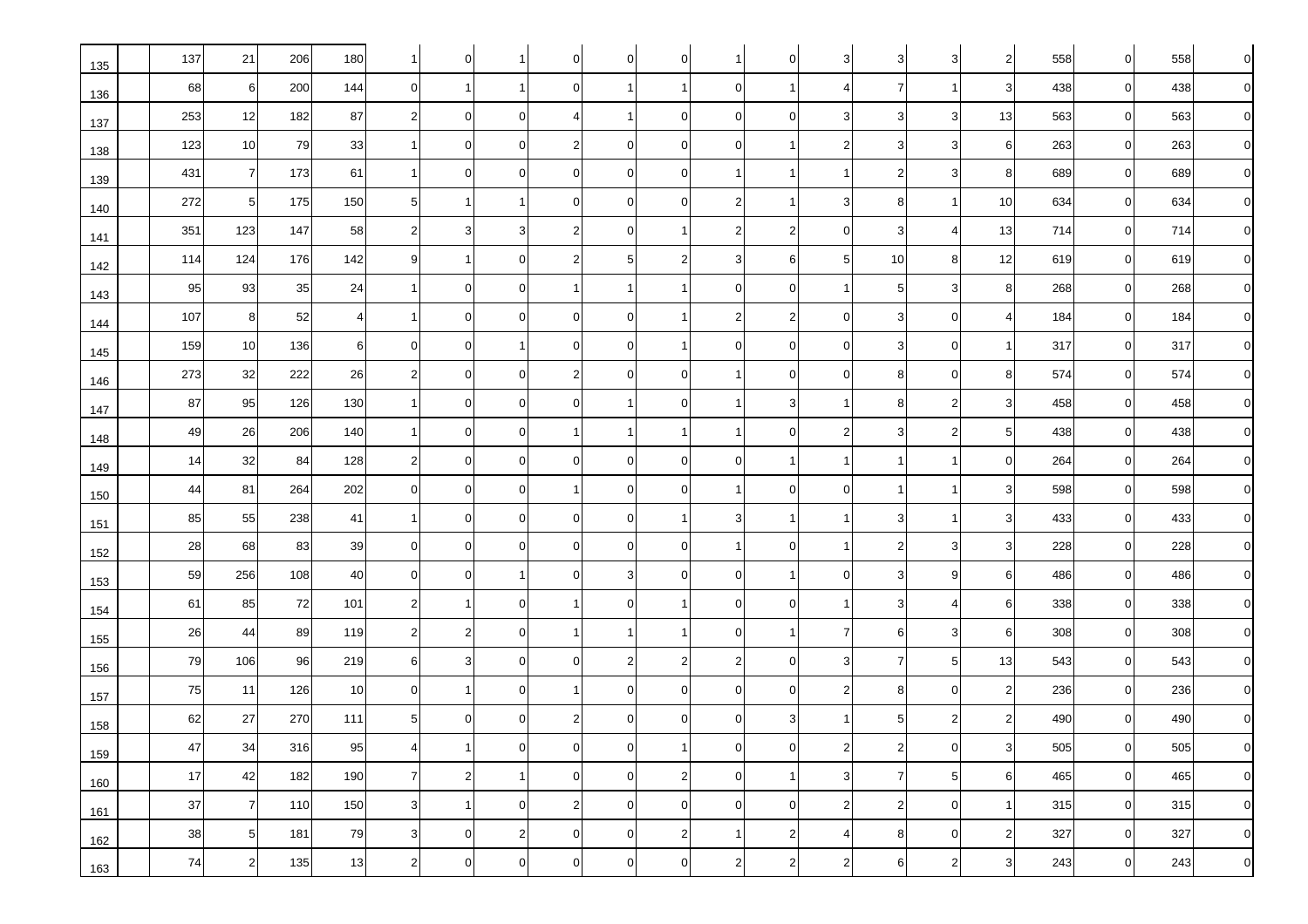| 135 | 137 | 21             | 206 | 180 |                | 0              |              | 0              |                | $\mathbf 0$    | 1              | $\overline{0}$ |                | 3              | 3              | $\overline{c}$ | 558 | $\overline{0}$ | 558 | $\overline{0}$      |
|-----|-----|----------------|-----|-----|----------------|----------------|--------------|----------------|----------------|----------------|----------------|----------------|----------------|----------------|----------------|----------------|-----|----------------|-----|---------------------|
| 136 | 68  | $6 \mid$       | 200 | 144 | $\overline{0}$ | -1             | 1            | $\mathbf 0$    | $\mathbf 1$    | 1              | $\overline{0}$ | $\mathbf{1}$   |                | $\overline{7}$ | $\overline{1}$ | 3              | 438 | $\overline{0}$ | 438 | $\mathbf 0$         |
| 137 | 253 | 12             | 182 | 87  | $\overline{2}$ | $\mathbf 0$    | $\Omega$     | 4              | -1             | $\mathbf 0$    | 0              | $\overline{0}$ |                | 3              | 3              | 13             | 563 | $\overline{0}$ | 563 | $\overline{0}$      |
| 138 | 123 | 10             | 79  | 33  |                | $\overline{0}$ | 0            | $\overline{2}$ | $\Omega$       | $\overline{0}$ | $\overline{0}$ | 1              |                | 3              | 3              | 6              | 263 | $\overline{0}$ | 263 | $\mathbf 0$         |
| 139 | 431 | $\overline{7}$ | 173 | 61  |                | $\overline{0}$ | ∩            | $\mathbf 0$    | $\Omega$       | $\mathbf 0$    | 1              |                |                | $\overline{2}$ | 3              | 8              | 689 | $\overline{0}$ | 689 | $\mathbf 0$         |
| 140 | 272 | 5              | 175 | 150 | 5              | -1             |              | $\mathbf 0$    | $\Omega$       | $\mathbf 0$    | $\overline{a}$ |                |                | 8              | -1             | 10             | 634 | $\overline{0}$ | 634 | $\mathbf 0$         |
| 141 | 351 | 123            | 147 | 58  |                | 3              | 3            | $\overline{2}$ | $\Omega$       | $\mathbf{1}$   | $\overline{a}$ | $\mathbf{2}$   |                | 3              | 4              | 13             | 714 | $\overline{0}$ | 714 | $\mathsf{O}\xspace$ |
| 142 | 114 | 124            | 176 | 142 | 9              | -1             | $\Omega$     | $\overline{2}$ | 5              | $\overline{c}$ | 3 <sup>1</sup> | $6 \mid$       |                | 10             | 8              | 12             | 619 | $\overline{0}$ | 619 | $\pmb{0}$           |
| 143 | 95  | 93             | 35  | 24  |                | $\mathbf 0$    | 0            |                |                | $\mathbf{1}$   | 0              | $\overline{0}$ |                | 5              | 3              | 8              | 268 | $\overline{0}$ | 268 | $\mathbf 0$         |
| 144 | 107 | 8              | 52  |     |                | $\mathbf 0$    | 0            | $\mathbf 0$    | 0              | $\mathbf{1}$   | 2              | 2              |                | 3              | $\mathbf 0$    |                | 184 | $\overline{0}$ | 184 | $\mathbf 0$         |
| 145 | 159 | 10             | 136 | 6   |                | $\overline{0}$ |              | $\mathbf 0$    | 0              | $\mathbf{1}$   | $\mathbf 0$    | $\overline{0}$ |                | 3              | $\Omega$       |                | 317 | $\overline{0}$ | 317 | $\mathbf 0$         |
| 146 | 273 | 32             | 222 | 26  |                | 0              | O            | $\overline{2}$ | 0              | $\mathbf 0$    | 1              | $\overline{0}$ |                | 8              | $\Omega$       | 8              | 574 | 0              | 574 | $\mathbf 0$         |
| 147 | 87  | 95             | 126 | 130 |                | $\mathbf 0$    | $\Omega$     | $\mathbf 0$    |                | $\mathbf 0$    | 1              | 3 <sup>1</sup> |                | 8              | $\overline{2}$ | 3              | 458 | $\overline{0}$ | 458 | $\mathbf 0$         |
| 148 | 49  | 26             | 206 | 140 |                | $\mathbf 0$    | $\Omega$     |                |                | $\mathbf{1}$   | 1              | $\overline{0}$ |                | 3              | $\overline{2}$ | 5              | 438 | $\overline{0}$ | 438 | $\mathbf 0$         |
| 149 | 14  | 32             | 84  | 128 | $\overline{2}$ | $\mathbf 0$    | $\Omega$     | $\mathbf 0$    | $\Omega$       | $\overline{0}$ | 0              | 1              |                | -1             | -1             | 0              | 264 | $\overline{0}$ | 264 | $\mathbf 0$         |
| 150 | 44  | 81             | 264 | 202 | $\mathbf 0$    | $\overline{0}$ | $\Omega$     |                | $\mathbf 0$    | $\mathbf 0$    | $\mathbf{1}$   | $\overline{0}$ |                | -1             | -1             | 3              | 598 | $\overline{0}$ | 598 | $\mathbf 0$         |
| 151 | 85  | 55             | 238 | 41  |                | $\overline{0}$ | $\Omega$     | $\mathbf 0$    | $\Omega$       | $\mathbf{1}$   | 3 <sup>1</sup> |                |                | 3              | -1             | 3              | 433 | $\overline{0}$ | 433 | $\mathbf 0$         |
| 152 | 28  | 68             | 83  | 39  | $\Omega$       | 0              | O            | 0              | $\Omega$       | $\mathbf 0$    | 1              | $\overline{0}$ |                | $\overline{2}$ | 3              | 3              | 228 | $\overline{0}$ | 228 | $\mathbf 0$         |
| 153 | 59  | 256            | 108 | 40  | $\Omega$       | 0              |              | $\mathbf 0$    | 3              | $\mathbf 0$    | $\overline{0}$ |                |                | 3              | č              | 6              | 486 | $\overline{0}$ | 486 | $\mathbf 0$         |
| 154 | 61  | 85             | 72  | 101 | $\overline{2}$ | -1             | $\Omega$     | -1             | $\Omega$       | $\mathbf{1}$   | $\pmb{0}$      | $\overline{0}$ |                | 3              | 4              | 6              | 338 | $\overline{0}$ | 338 | $\pmb{0}$           |
| 155 | 26  | 44             | 89  | 119 | $\mathbf{2}$   | $\overline{c}$ | 0            |                |                | $\mathbf{1}$   | $\overline{0}$ |                |                | 6              | 3              | 6              | 308 | $\overline{0}$ | 308 | $\mathsf{O}\xspace$ |
| 156 | 79  | 106            | 96  | 219 | 6              | 3              | 0            | 0              | 2              | $\mathbf 2$    | 2              | $\overline{0}$ |                | 7              | 5              | 13             | 543 | $\overline{0}$ | 543 | $\mathbf 0$         |
| 157 | 75  | 11             | 126 | 10  | $\Omega$       |                | 0            |                | 0              | $\mathbf 0$    | 0              | $\overline{0}$ |                | 8              | 0              | $\overline{2}$ | 236 | 0              | 236 | $\mathbf 0$         |
| 158 | 62  | 27             | 270 | 111 | 5 <sub>l</sub> | 0              |              | 2              |                | $\mathbf 0$    | $\overline{0}$ | 3              |                | 5 <sup>1</sup> | $\overline{2}$ | 2              | 490 | 0              | 490 | $\mathbf 0$         |
| 159 | 47  | 34             | 316 | 95  | $\overline{4}$ | $\mathbf 1$    | $\mathbf 0$  | $\overline{0}$ | $\overline{0}$ | $\vert$        | $\overline{0}$ | $\overline{0}$ | $\overline{2}$ | $\overline{2}$ | $\mathbf 0$    | $\mathbf{3}$   | 505 | $\overline{0}$ | 505 | $\mathbf 0$         |
| 160 | 17  | 42             | 182 | 190 | $\overline{7}$ | $\overline{2}$ | 1            | $\mathbf 0$    | $\mathbf 0$    | $\overline{2}$ | $\overline{0}$ | 1              | 3              | $\overline{7}$ | 5              | 6              | 465 | $\overline{0}$ | 465 | $\mathbf 0$         |
| 161 | 37  | 7              | 110 | 150 | 3 <sup>1</sup> | $\mathbf{1}$   | $\mathbf 0$  | $\sqrt{2}$     | 0              | $\overline{0}$ | $\overline{0}$ | $\overline{0}$ | $\overline{2}$ | $\overline{2}$ | $\overline{0}$ | $\mathbf{1}$   | 315 | $\overline{0}$ | 315 | $\mathsf{O}\xspace$ |
| 162 | 38  | 5 <sub>1</sub> | 181 | 79  | 3 <sup>1</sup> | $\overline{0}$ | $\mathbf{2}$ | $\mathbf 0$    | $\overline{0}$ | $\mathbf 2$    | 1              | $2 \mid$       | 4              | 8              | $\mathbf 0$    | $\overline{2}$ | 327 | $\overline{0}$ | 327 | $\mathbf 0$         |
| 163 | 74  | 2              | 135 | 13  | $\overline{2}$ | $\mathbf 0$    | $\mathbf 0$  | $\mathbf 0$    | $\mathbf 0$    | $\overline{0}$ | $\mathbf{2}$   | $\mathbf{2}$   | $\overline{2}$ | 6              | $\overline{2}$ | $\mathbf{3}$   | 243 | $\overline{0}$ | 243 | $\mathbf 0$         |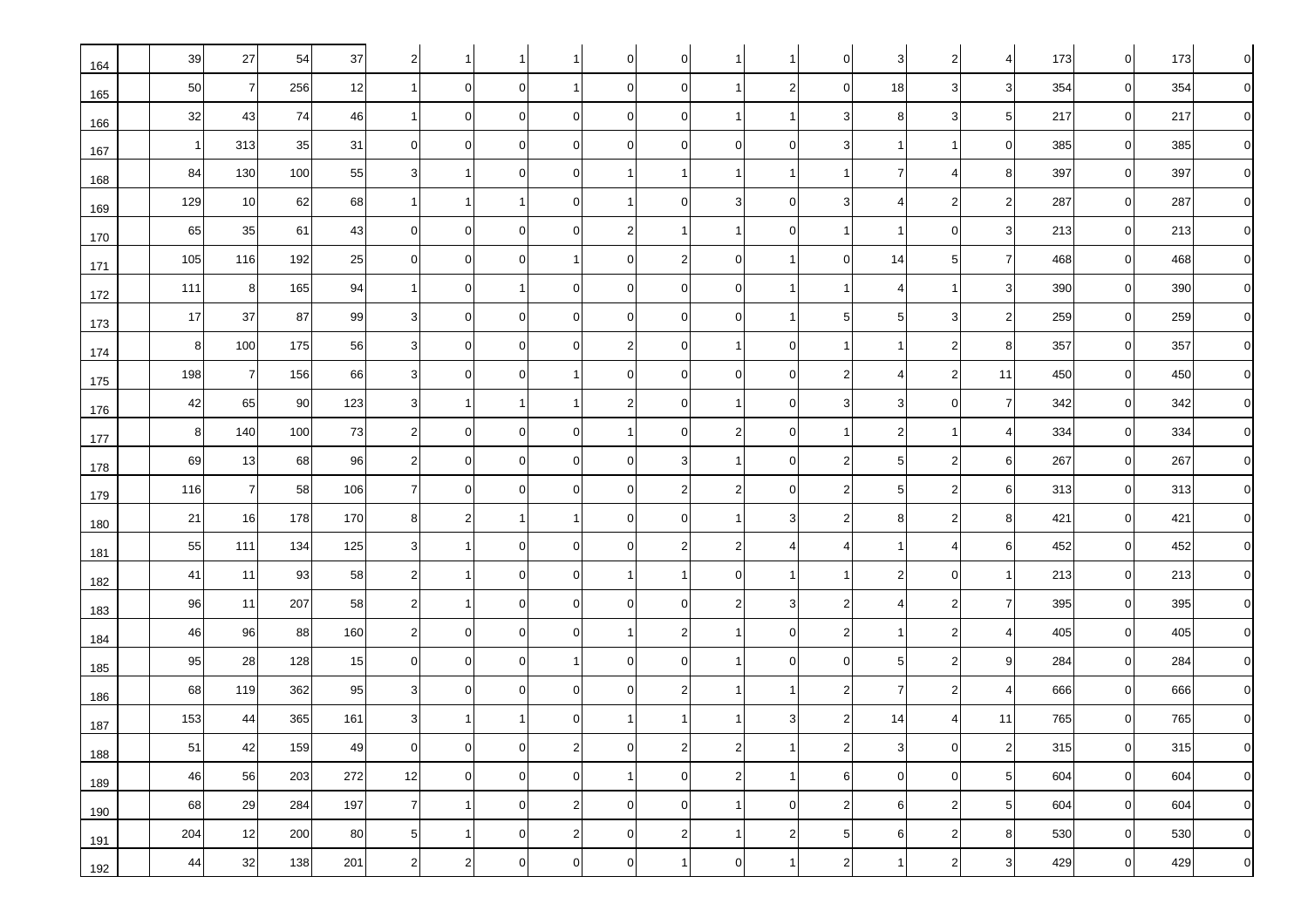| 164 | 39           | 27             | 54  | 37  | 2              |                |                |                | 0              | $\mathbf 0$         |                |                |                | 3              | $\overline{2}$          | 4               | 173 | $\overline{0}$ | 173 | 0                |
|-----|--------------|----------------|-----|-----|----------------|----------------|----------------|----------------|----------------|---------------------|----------------|----------------|----------------|----------------|-------------------------|-----------------|-----|----------------|-----|------------------|
| 165 | 50           | $\overline{7}$ | 256 | 12  |                | $\overline{0}$ | $\overline{0}$ | $\mathbf{1}$   | $\mathbf 0$    | $\overline{0}$      | $\vert$ 1      | 2              | $\mathbf 0$    | 18             | 3                       | 3               | 354 | $\overline{0}$ | 354 | 0                |
| 166 | 32           | 43             | 74  | 46  |                | $\overline{0}$ | $\overline{0}$ | $\mathbf 0$    | 0              | $\mathbf 0$         | -1             |                | 3              | 8              | 3                       | 5               | 217 | $\overline{0}$ | 217 | 0                |
| 167 | $\mathbf{1}$ | 313            | 35  | 31  | $\overline{0}$ | $\overline{0}$ | $\mathbf 0$    | $\mathbf 0$    | 0              | $\overline{0}$      | $\overline{0}$ | $\overline{0}$ |                |                |                         | $\mathbf 0$     | 385 | $\overline{0}$ | 385 | 0                |
| 168 | 84           | 130            | 100 | 55  | 3              |                | $\Omega$       | $\mathbf 0$    |                | $\mathbf{1}$        | -1             |                |                | 7              |                         | 8               | 397 | $\overline{0}$ | 397 | 0                |
| 169 | 129          | 10             | 62  | 68  |                | -1             | 1              | 0              |                | $\mathbf 0$         | 3 <sup>1</sup> | $\overline{0}$ |                | 4              | $\overline{2}$          | $\overline{2}$  | 287 | $\overline{0}$ | 287 | 0                |
| 170 | 65           | 35             | 61  | 43  | 0              | 0              | $\Omega$       | $\mathbf 0$    | $\overline{2}$ | $\mathbf{1}$        | $\mathbf 1$    | $\overline{0}$ |                |                | $\overline{0}$          | 3               | 213 | $\overline{0}$ | 213 | 0                |
| 171 | 105          | 116            | 192 | 25  | 0              | $\overline{0}$ | $\Omega$       |                | $\Omega$       | $\overline{c}$      | $\overline{0}$ |                | ∩              | 14             | 5                       | 7               | 468 | $\overline{0}$ | 468 | $\pmb{0}$        |
| 172 | 111          | 8              | 165 | 94  |                | $\overline{0}$ |                | 0              | $\Omega$       | $\mathbf 0$         | $\overline{0}$ |                |                | $\overline{4}$ |                         | 3               | 390 | $\overline{0}$ | 390 | $\pmb{0}$        |
| 173 | 17           | 37             | 87  | 99  | 3              | $\overline{0}$ | $\Omega$       | $\mathbf 0$    | $\Omega$       | $\overline{0}$      | $\overline{0}$ |                |                | 5              | 3                       | $\overline{2}$  | 259 | $\overline{0}$ | 259 | $\pmb{0}$        |
| 174 | 8            | 100            | 175 | 56  | 3              | $\mathbf 0$    | $\Omega$       | $\mathbf 0$    | $\overline{c}$ | $\mathbf 0$         | -1             | $\overline{0}$ |                |                | $\overline{2}$          | 8               | 357 | $\mathbf 0$    | 357 | $\pmb{0}$        |
| 175 | 198          | $\overline{7}$ | 156 | 66  | 3              | 0              | $\Omega$       |                | $\Omega$       | $\mathbf 0$         | $\mathbf 0$    | $\overline{0}$ |                | $\overline{4}$ | $\overline{2}$          | 11              | 450 | $\mathbf 0$    | 450 | 0                |
| 176 | 42           | 65             | 90  | 123 | 3              | -1             | 1              |                | 2              | $\mathbf 0$         | $\mathbf 1$    | $\overline{0}$ |                | 3              | $\overline{0}$          | $\overline{7}$  | 342 | $\overline{0}$ | 342 | $\mathbf 0$      |
| 177 | 8            | 140            | 100 | 73  | 2              | $\overline{0}$ | $\Omega$       | $\mathbf 0$    | 1              | $\mathsf{O}\xspace$ | $\overline{c}$ | $\overline{0}$ |                | $\overline{2}$ |                         | 4               | 334 | $\overline{0}$ | 334 | $\boldsymbol{0}$ |
| 178 | 69           | 13             | 68  | 96  | $\mathbf{2}$   | $\overline{0}$ | $\mathbf 0$    | $\mathbf 0$    | 0              | $\mathbf{3}$        | $\mathbf{1}$   | $\overline{0}$ | 2              | 5              | $2 \overline{)}$        | 6               | 267 | $\overline{0}$ | 267 | 0                |
| 179 | 116          | $\overline{7}$ | 58  | 106 | $\overline{7}$ | $\overline{0}$ | $\Omega$       | $\mathbf 0$    | $\mathbf 0$    | $\overline{c}$      | $2 \vert$      | $\overline{0}$ | 2              | 5              | $\overline{2}$          | 6               | 313 | $\overline{0}$ | 313 | 0                |
| 180 | 21           | 16             | 178 | 170 | 8              | $\overline{c}$ | 1              |                | $\mathbf 0$    | $\mathbf 0$         | $\mathbf 1$    | 3              |                | 8              | $\overline{2}$          | 8               | 421 | $\overline{0}$ | 421 | 0                |
| 181 | 55           | 111            | 134 | 125 | 3              | -1             | $\Omega$       | $\mathbf 0$    | $\Omega$       | $\overline{c}$      | $\overline{2}$ | 4              |                |                | 4                       | 6               | 452 | $\mathbf 0$    | 452 | 0                |
| 182 | 41           | 11             | 93  | 58  | $\overline{2}$ |                | $\Omega$       | 0              |                | $\mathbf{1}$        | $\mathbf 0$    |                |                | $\overline{2}$ | $\overline{0}$          |                 | 213 | $\overline{0}$ | 213 | 0                |
| 183 | 96           | 11             | 207 | 58  | $\mathbf{2}$   | 1              | $\Omega$       | $\mathbf 0$    | $\Omega$       | $\mathbf 0$         | $\overline{a}$ | 3              |                | 4              | $\overline{\mathbf{c}}$ | 7               | 395 | $\overline{0}$ | 395 | $\pmb{0}$        |
| 184 | 46           | 96             | 88  | 160 | $\overline{2}$ | $\overline{0}$ | $\mathbf 0$    | $\mathbf 0$    |                | $\mathbf 2$         | -1             | $\overline{0}$ | 2              |                | $\overline{2}$          |                 | 405 | $\overline{0}$ | 405 | $\pmb{0}$        |
| 185 | 95           | 28             | 128 | 15  | $\overline{0}$ | $\overline{0}$ | $\Omega$       | -1             | $\mathbf 0$    | $\mathbf 0$         | $\mathbf 1$    | $\overline{0}$ | n              | 5              | $\overline{2}$          | 9               | 284 | $\overline{0}$ | 284 | $\pmb{0}$        |
| 186 | 68           | 119            | 362 | 95  | 3              | 0              | $\Omega$       | $\mathbf 0$    | $\Omega$       | $\overline{c}$      | -1             |                |                | 7              | $\overline{2}$          |                 | 666 | $\overline{0}$ | 666 | 0                |
| 187 | 153          | 44             | 365 | 161 | 3              |                |                | 0              |                | 1                   |                | 3              |                | 14             |                         | 11              | 765 | $\overline{0}$ | 765 | $\boldsymbol{0}$ |
| 188 | 51           | 42             | 159 | 49  | $\mathbf 0$    | $\overline{0}$ | $\mathbf 0$    | $\overline{c}$ | 0              | $\overline{c}$      | $2 \vert$      | 11             | $\overline{2}$ | $\overline{3}$ | $\mathbf 0$             | $2 \vert$       | 315 | $\overline{0}$ | 315 | $\mathbf 0$      |
| 189 | 46           | 56             | 203 | 272 | 12             | $\overline{0}$ | $\mathbf 0$    | $\mathbf 0$    | $\mathbf{1}$   | $\overline{0}$      | $2 \vert$      | $\overline{1}$ | 6              | $\overline{0}$ | $\mathbf 0$             | 5               | 604 | $\overline{0}$ | 604 | $\mathbf 0$      |
| 190 | 68           | 29             | 284 | 197 | $\overline{7}$ | $\overline{1}$ | $\overline{0}$ | $\sqrt{2}$     | $\overline{0}$ | $\overline{0}$      | $\vert$ 1      | $\overline{0}$ | $\overline{2}$ | 6              | $\overline{2}$          | $5\phantom{.0}$ | 604 | 0              | 604 | $\pmb{0}$        |
| 191 | 204          | 12             | 200 | 80  | 5 <sub>l</sub> | -1             | $\mathbf 0$    | $\overline{c}$ | 0              | $\overline{c}$      | $\vert$ 1      | $2 \mid$       | $5 \,$         | 6              | $\mathbf{2}$            | 8               | 530 | $\overline{0}$ | 530 | $\mathbf 0$      |
| 192 | 44           | 32             | 138 | 201 | $2 \vert$      | $\mathbf{2}$   | $\overline{0}$ | $\mathbf 0$    | $\mathbf 0$    | $\vert$             | $\overline{0}$ | 1              | $\overline{2}$ | -1             | $\overline{2}$          | $\mathbf{3}$    | 429 | 0              | 429 | $\pmb{0}$        |